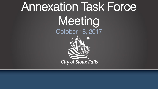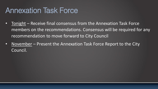## Annexation Task Force

- Tonight Receive final consensus from the Annexation Task Force members on the recommendations. Consensus will be required for any recommendation to move forward to City Council
- November Present the Annexation Task Force Report to the City Council.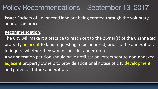#### Policy Recommendations – September 13, 2017

**Issue**: Pockets of unannexed land are being created through the voluntary annexation process.

#### **Recommendation**:

The City will make it a practice to reach out to the owner(s) of the unannexed property adjacent to land requesting to be annexed, prior to the annexation, to inquire whether they would consider annexation. Any annexation petition should have notification letters sent to non-annexed adjacent property owners to provide additional notice of city development and potential future annexation.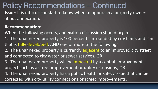**Issue**: It is difficult for staff to know when to approach a property owner about annexation. Policy Recommendations – Continued

#### **Recommendation**:

When the following occurs, annexation discussion should begin.

- 1. The unannexed property is 100 percent surrounded by city limits and land that is fully developed, AND one or more of the following:
- 2. The unannexed property is currently adjacent to an improved city street and connected to city water or sewer services, OR
- 3. The unannexed property will be impacted by a capital improvement project such as a street improvement or utility extensions, OR
- 4. The unannexed property has a public health or safety issue that can be corrected with city utility connections or street improvements.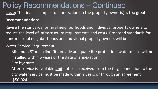**Issue:** The financial impact of annexation on the property owner(s) is too great.

#### **Recommendation:**

Revise the standards for rural neighborhoods and individual property owners to reduce the level of infrastructure requirements and costs. Proposed standards for annexed rural neighborhoods and individual property owners will be:

#### Water Service Requirement:

- Minimum 8" main line. To provide adequate fire protection, water mains will be installed within 5 years of the date of annexation.
- Fire hydrants.
- After service is available **and** notice is received from the City, connection to the city water service must be made within 2 years or through an agreement (§50.024).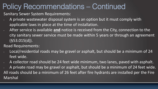Sanitary Sewer System Requirements:

- A private wastewater disposal system is an option but it must comply with applicable laws in place at the time of installation.
- After service is available **and** notice is received from the City, connection to the city sanitary sewer service must be made within 5 years or through an agreement (§53.015(d)).
- Road Requirements:
- Local/residential roads may be gravel or asphalt, but should be a minimum of 24 feet wide.
- A collector road should be 24 feet wide minimum, two lanes, paved with asphalt.
- A private road may be gravel or asphalt, but should be a minimum of 24 feet wide. All roads should be a minimum of 26 feet after fire hydrants are installed per the Fire Marshal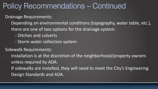Drainage Requirements:

- Depending on environmental conditions (topography, water table, etc.), there are one of two options for the drainage system.
	- Ditches and culverts
	- Storm water collection system

Sidewalk Requirements:

- Installation is at the discretion of the neighborhood/property owners unless required by ADA.
- If sidewalks are installed, they will need to meet the City's Engineering Design Standards and ADA.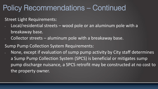Street Light Requirements:

- Local/residential streets wood pole or an aluminum pole with a breakaway base.
- Collector streets aluminum pole with a breakaway base.

Sump Pump Collection System Requirements:

• None, except if evaluation of sump pump activity by City staff determines a Sump Pump Collection System (SPCS) is beneficial or mitigates sump pump discharge nuisance, a SPCS retrofit may be constructed at no cost to the property owner.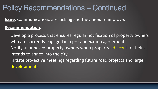**Issue:** Communications are lacking and they need to improve. **Recommendation:**

- Develop a process that ensures regular notification of property owners who are currently engaged in a pre-annexation agreement. Notify unannexed property owners when property adjacent to theirs
	- intends to annex into the city.
- Initiate pro-active meetings regarding future road projects and large developments.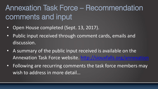# Annexation Task Force – Recommendation comments and input

- Open House completed (Sept. 13, 2017).
- Public input received through comment cards, emails and discussion.
- A summary of the public input received is available on the Annexation Task Force website. <http://siouxfalls.org/annexation>
- Following are recurring comments the task force members may wish to address in more detail…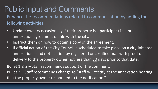# Public Input and Comments

Enhance the recommendations related to communication by adding the following activities:

- Update owners occasionally if their property is a participant in a preannexation agreement on file with the city.
- Instruct them on how to obtain a copy of the agreement.
- If official action of the City Council is scheduled to take place on a city-initiated annexation, send notification by registered or certified mail with proof of delivery to the property owner not less than 30 days prior to that date.

Bullet 1 & 2 – Staff recommends support of the comment.

Bullet 3 – Staff recommends change to "staff will testify at the annexation hearing that the property owner responded to the notification."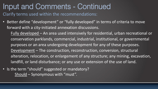#### Clarify terms used within the recommendations: Input and Comments - Continued

- Better define "development" or "fully developed" in terms of criteria to move forward with a city-initiated annexation discussions.
	- Fully developed An area used intensively for residential, urban recreational or conservation parklands, commercial, industrial, institutional, or governmental purposes or an area undergoing development for any of these purposes. Development – The construction, reconstruction, conversion, structural alteration, relocation, or enlargement of any structure; any mining, excavation, landfill, or land disturbance; or any use or extension of the use of land.
- Is the term "should" suggested or mandatory? Should – Synonymous with "must".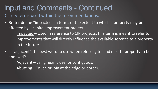Clarify terms used within the recommendations:

• Better define "impacted" in terms of the extent to which a property may be affected by a capital improvement project.

Impacted – Used in reference to CIP projects, this term is meant to refer to improvements that will directly influence the available services to a property in the future.

• Is "adjacent" the best word to use when referring to land next to property to be annexed?

Adjacent – Lying near, close, or contiguous.

Abutting – Touch or join at the edge or border.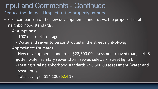Reduce the financial impact to the property owners.

• Cost comparison of the new development standards vs. the proposed rural neighborhood standards.

#### Assumptions:

- 100' of street frontage.
- Water and sewer to be constructed in the street right-of-way.

#### Approximate Estimates:

- New development standards \$22,600.00 assessment (paved road, curb & gutter, water, sanitary sewer, storm sewer, sidewalk, street lights).
- Existing rural neighborhood standards \$8,500.00 assessment (water and sewer only).
- Total savings \$14,100 (62.4%)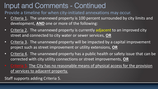Provide a timeline for when city-initiated annexations may occur.

- Criteria 1. The unannexed property is 100 percent surrounded by city limits and development, **AND** one or more of the following:
- Criteria 2. The unannexed property is currently adjacent to an improved city street and connected to city water or sewer services, **OR**
- Criteria 3. The unannexed property will be impacted by a capital improvement project such as street improvement or utility extensions, **OR**
- Criteria 4. The unannexed property has a public health or safety issue that can be corrected with city utility connections or street improvements, **OR**
- Criteria 5. The City has no reasonable means of physical access for the provision of services to adjacent property.

Staff supports adding Criteria 5.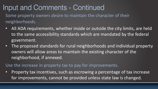Some property owners desire to maintain the character of their neighborhoods.

- All ADA requirements, whether inside or outside the city limits, are held to the same accessibility standards which are mandated by the federal government.
- The proposed standards for rural neighborhoods and individual property owners will allow areas to maintain the existing character of the neighborhood, if annexed.

Use the increase in property tax to pay for improvements.

• Property tax incentives, such as escrowing a percentage of tax increase for improvements, cannot be provided unless state law is changed.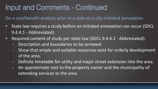Do a cost/benefit analysis prior to a vote on a city-initiated annexation.

- State law requires a study before an initiated annexation can occur (SDCL 9.4.4.1 - Abbreviated).
- Required content of study per state law (SDCL 9.4.4.2 Abbreviated).
	- Description and boundaries to be annexed.
	- Show that ample and suitable resources exist for orderly development of the area.
	- Definite timetable for utility and major street extension into the area.
	- An approximate cost to the property owner and the municipality of extending services to the area.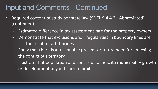- Required content of study per state law (SDCL 9.4.4.2 Abbreviated) (continued).
	- Estimated difference in tax assessment rate for the property owners.
	- Demonstrate that exclusions and irregularities in boundary lines are not the result of arbitrariness.
	- Show that there is a reasonable present or future need for annexing the contiguous territory.
	- Illustrate that population and census data indicate municipality growth or development beyond current limits.